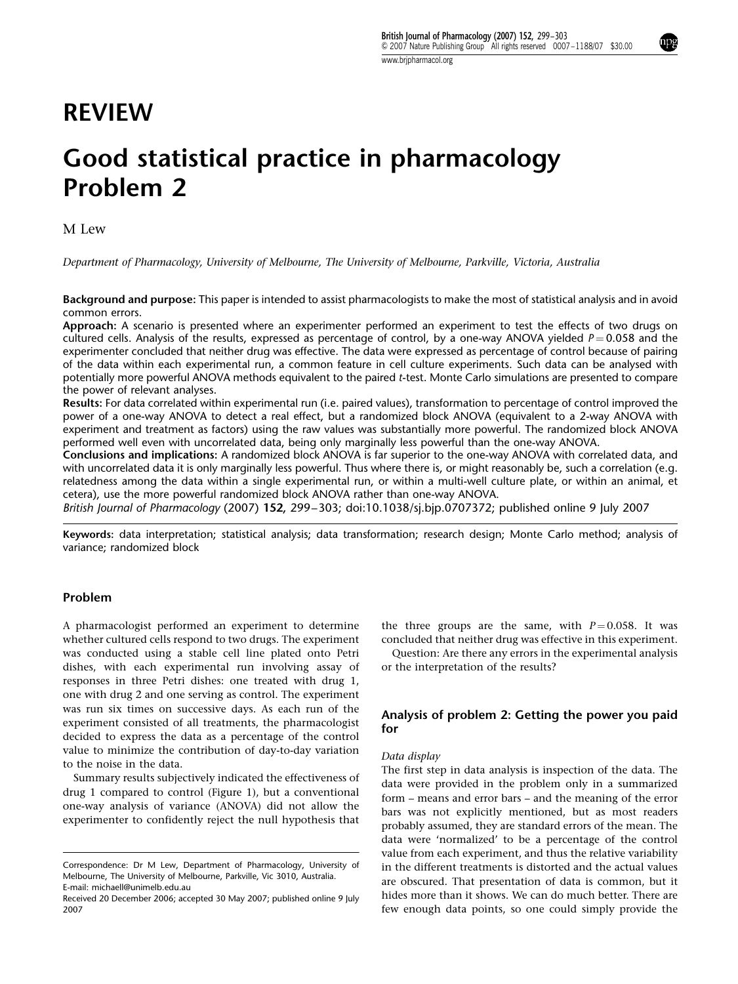# REVIEW

# Good statistical practice in pharmacology Problem 2

M Lew

Department of Pharmacology, University of Melbourne, The University of Melbourne, Parkville, Victoria, Australia

Background and purpose: This paper is intended to assist pharmacologists to make the most of statistical analysis and in avoid common errors.

Approach: A scenario is presented where an experimenter performed an experiment to test the effects of two drugs on cultured cells. Analysis of the results, expressed as percentage of control, by a one-way ANOVA yielded  $P = 0.058$  and the experimenter concluded that neither drug was effective. The data were expressed as percentage of control because of pairing of the data within each experimental run, a common feature in cell culture experiments. Such data can be analysed with potentially more powerful ANOVA methods equivalent to the paired t-test. Monte Carlo simulations are presented to compare the power of relevant analyses.

Results: For data correlated within experimental run (i.e. paired values), transformation to percentage of control improved the power of a one-way ANOVA to detect a real effect, but a randomized block ANOVA (equivalent to a 2-way ANOVA with experiment and treatment as factors) using the raw values was substantially more powerful. The randomized block ANOVA performed well even with uncorrelated data, being only marginally less powerful than the one-way ANOVA.

Conclusions and implications: A randomized block ANOVA is far superior to the one-way ANOVA with correlated data, and with uncorrelated data it is only marginally less powerful. Thus where there is, or might reasonably be, such a correlation (e.g. relatedness among the data within a single experimental run, or within a multi-well culture plate, or within an animal, et cetera), use the more powerful randomized block ANOVA rather than one-way ANOVA.

British Journal of Pharmacology (2007) 152, 299–303; doi:10.1038/sj.bjp.0707372; published online 9 July 2007

Keywords: data interpretation; statistical analysis; data transformation; research design; Monte Carlo method; analysis of variance; randomized block

# Problem

A pharmacologist performed an experiment to determine whether cultured cells respond to two drugs. The experiment was conducted using a stable cell line plated onto Petri dishes, with each experimental run involving assay of responses in three Petri dishes: one treated with drug 1, one with drug 2 and one serving as control. The experiment was run six times on successive days. As each run of the experiment consisted of all treatments, the pharmacologist decided to express the data as a percentage of the control value to minimize the contribution of day-to-day variation to the noise in the data.

Summary results subjectively indicated the effectiveness of drug 1 compared to control (Figure 1), but a conventional one-way analysis of variance (ANOVA) did not allow the experimenter to confidently reject the null hypothesis that the three groups are the same, with  $P = 0.058$ . It was concluded that neither drug was effective in this experiment.

Question: Are there any errors in the experimental analysis or the interpretation of the results?

# Analysis of problem 2: Getting the power you paid for

#### Data display

The first step in data analysis is inspection of the data. The data were provided in the problem only in a summarized form – means and error bars – and the meaning of the error bars was not explicitly mentioned, but as most readers probably assumed, they are standard errors of the mean. The data were 'normalized' to be a percentage of the control value from each experiment, and thus the relative variability in the different treatments is distorted and the actual values are obscured. That presentation of data is common, but it hides more than it shows. We can do much better. There are few enough data points, so one could simply provide the

Correspondence: Dr M Lew, Department of Pharmacology, University of Melbourne, The University of Melbourne, Parkville, Vic 3010, Australia. E-mail: michaell@unimelb.edu.au

Received 20 December 2006; accepted 30 May 2007; published online 9 July 2007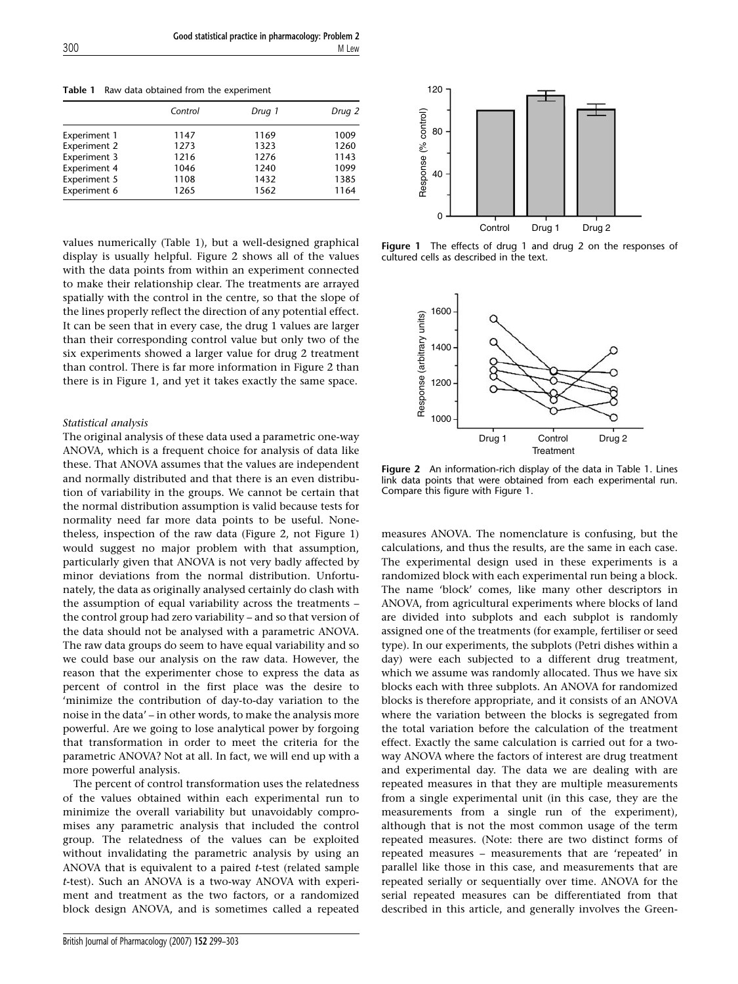|              | Control | Drug 1 | Drug 2 |  |
|--------------|---------|--------|--------|--|
| Experiment 1 | 1147    | 1169   | 1009   |  |
| Experiment 2 | 1273    | 1323   | 1260   |  |
| Experiment 3 | 1216    | 1276   | 1143   |  |
| Experiment 4 | 1046    | 1240   | 1099   |  |
| Experiment 5 | 1108    | 1432   | 1385   |  |
| Experiment 6 | 1265    | 1562   | 1164   |  |

Table 1 Raw data obtained from the experiment

values numerically (Table 1), but a well-designed graphical display is usually helpful. Figure 2 shows all of the values with the data points from within an experiment connected to make their relationship clear. The treatments are arrayed spatially with the control in the centre, so that the slope of the lines properly reflect the direction of any potential effect. It can be seen that in every case, the drug 1 values are larger than their corresponding control value but only two of the six experiments showed a larger value for drug 2 treatment than control. There is far more information in Figure 2 than there is in Figure 1, and yet it takes exactly the same space.

#### Statistical analysis

The original analysis of these data used a parametric one-way ANOVA, which is a frequent choice for analysis of data like these. That ANOVA assumes that the values are independent and normally distributed and that there is an even distribution of variability in the groups. We cannot be certain that the normal distribution assumption is valid because tests for normality need far more data points to be useful. Nonetheless, inspection of the raw data (Figure 2, not Figure 1) would suggest no major problem with that assumption, particularly given that ANOVA is not very badly affected by minor deviations from the normal distribution. Unfortunately, the data as originally analysed certainly do clash with the assumption of equal variability across the treatments – the control group had zero variability – and so that version of the data should not be analysed with a parametric ANOVA. The raw data groups do seem to have equal variability and so we could base our analysis on the raw data. However, the reason that the experimenter chose to express the data as percent of control in the first place was the desire to 'minimize the contribution of day-to-day variation to the noise in the data' – in other words, to make the analysis more powerful. Are we going to lose analytical power by forgoing that transformation in order to meet the criteria for the parametric ANOVA? Not at all. In fact, we will end up with a more powerful analysis.

The percent of control transformation uses the relatedness of the values obtained within each experimental run to minimize the overall variability but unavoidably compromises any parametric analysis that included the control group. The relatedness of the values can be exploited without invalidating the parametric analysis by using an ANOVA that is equivalent to a paired t-test (related sample t-test). Such an ANOVA is a two-way ANOVA with experiment and treatment as the two factors, or a randomized block design ANOVA, and is sometimes called a repeated



Figure 1 The effects of drug 1 and drug 2 on the responses of cultured cells as described in the text.



Figure 2 An information-rich display of the data in Table 1. Lines link data points that were obtained from each experimental run. Compare this figure with Figure 1.

measures ANOVA. The nomenclature is confusing, but the calculations, and thus the results, are the same in each case. The experimental design used in these experiments is a randomized block with each experimental run being a block. The name 'block' comes, like many other descriptors in ANOVA, from agricultural experiments where blocks of land are divided into subplots and each subplot is randomly assigned one of the treatments (for example, fertiliser or seed type). In our experiments, the subplots (Petri dishes within a day) were each subjected to a different drug treatment, which we assume was randomly allocated. Thus we have six blocks each with three subplots. An ANOVA for randomized blocks is therefore appropriate, and it consists of an ANOVA where the variation between the blocks is segregated from the total variation before the calculation of the treatment effect. Exactly the same calculation is carried out for a twoway ANOVA where the factors of interest are drug treatment and experimental day. The data we are dealing with are repeated measures in that they are multiple measurements from a single experimental unit (in this case, they are the measurements from a single run of the experiment), although that is not the most common usage of the term repeated measures. (Note: there are two distinct forms of repeated measures – measurements that are 'repeated' in parallel like those in this case, and measurements that are repeated serially or sequentially over time. ANOVA for the serial repeated measures can be differentiated from that described in this article, and generally involves the Green-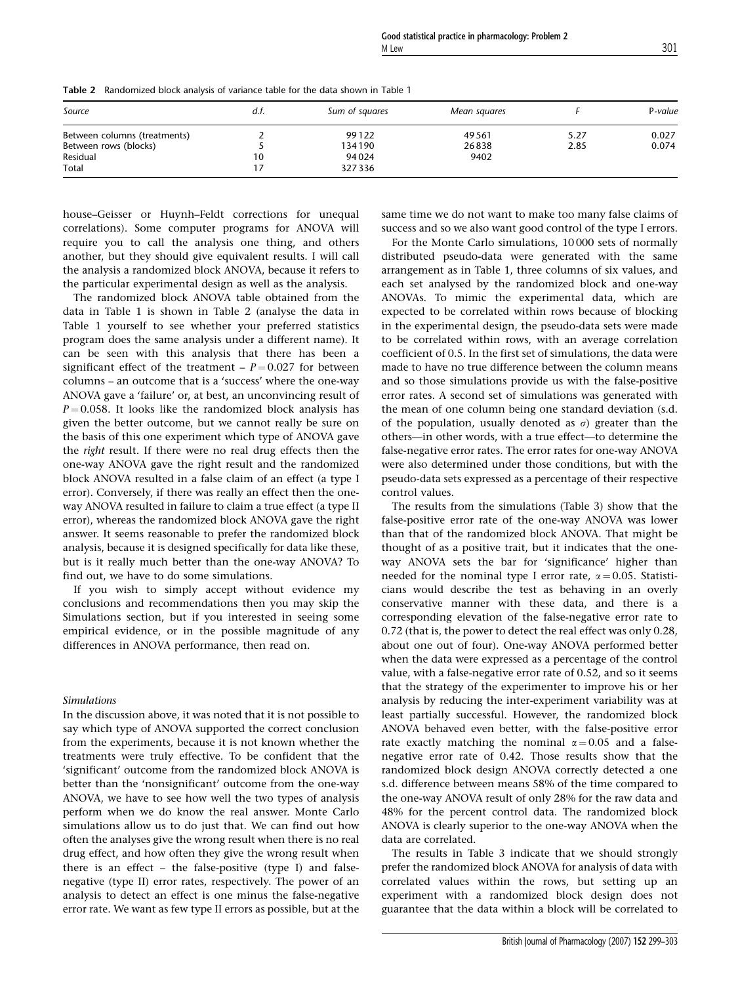| Source                       | d.t. | Sum of squares | Mean squares |      | P-value |
|------------------------------|------|----------------|--------------|------|---------|
| Between columns (treatments) |      | 99122          | 49561        | 5.27 | 0.027   |
| Between rows (blocks)        |      | 134190         | 26838        | 2.85 | 0.074   |
| Residual                     | 10   | 94024          | 9402         |      |         |
| Total                        |      | 327336         |              |      |         |

house–Geisser or Huynh–Feldt corrections for unequal correlations). Some computer programs for ANOVA will require you to call the analysis one thing, and others another, but they should give equivalent results. I will call the analysis a randomized block ANOVA, because it refers to the particular experimental design as well as the analysis.

The randomized block ANOVA table obtained from the data in Table 1 is shown in Table 2 (analyse the data in Table 1 yourself to see whether your preferred statistics program does the same analysis under a different name). It can be seen with this analysis that there has been a significant effect of the treatment –  $P = 0.027$  for between columns – an outcome that is a 'success' where the one-way ANOVA gave a 'failure' or, at best, an unconvincing result of  $P = 0.058$ . It looks like the randomized block analysis has given the better outcome, but we cannot really be sure on the basis of this one experiment which type of ANOVA gave the right result. If there were no real drug effects then the one-way ANOVA gave the right result and the randomized block ANOVA resulted in a false claim of an effect (a type I error). Conversely, if there was really an effect then the oneway ANOVA resulted in failure to claim a true effect (a type II error), whereas the randomized block ANOVA gave the right answer. It seems reasonable to prefer the randomized block analysis, because it is designed specifically for data like these, but is it really much better than the one-way ANOVA? To find out, we have to do some simulations.

If you wish to simply accept without evidence my conclusions and recommendations then you may skip the Simulations section, but if you interested in seeing some empirical evidence, or in the possible magnitude of any differences in ANOVA performance, then read on.

#### Simulations

In the discussion above, it was noted that it is not possible to say which type of ANOVA supported the correct conclusion from the experiments, because it is not known whether the treatments were truly effective. To be confident that the 'significant' outcome from the randomized block ANOVA is better than the 'nonsignificant' outcome from the one-way ANOVA, we have to see how well the two types of analysis perform when we do know the real answer. Monte Carlo simulations allow us to do just that. We can find out how often the analyses give the wrong result when there is no real drug effect, and how often they give the wrong result when there is an effect – the false-positive (type I) and falsenegative (type II) error rates, respectively. The power of an analysis to detect an effect is one minus the false-negative error rate. We want as few type II errors as possible, but at the

same time we do not want to make too many false claims of success and so we also want good control of the type I errors.

For the Monte Carlo simulations, 10 000 sets of normally distributed pseudo-data were generated with the same arrangement as in Table 1, three columns of six values, and each set analysed by the randomized block and one-way ANOVAs. To mimic the experimental data, which are expected to be correlated within rows because of blocking in the experimental design, the pseudo-data sets were made to be correlated within rows, with an average correlation coefficient of 0.5. In the first set of simulations, the data were made to have no true difference between the column means and so those simulations provide us with the false-positive error rates. A second set of simulations was generated with the mean of one column being one standard deviation (s.d. of the population, usually denoted as  $\sigma$ ) greater than the others—in other words, with a true effect—to determine the false-negative error rates. The error rates for one-way ANOVA were also determined under those conditions, but with the pseudo-data sets expressed as a percentage of their respective control values.

The results from the simulations (Table 3) show that the false-positive error rate of the one-way ANOVA was lower than that of the randomized block ANOVA. That might be thought of as a positive trait, but it indicates that the oneway ANOVA sets the bar for 'significance' higher than needed for the nominal type I error rate,  $\alpha = 0.05$ . Statisticians would describe the test as behaving in an overly conservative manner with these data, and there is a corresponding elevation of the false-negative error rate to 0.72 (that is, the power to detect the real effect was only 0.28, about one out of four). One-way ANOVA performed better when the data were expressed as a percentage of the control value, with a false-negative error rate of 0.52, and so it seems that the strategy of the experimenter to improve his or her analysis by reducing the inter-experiment variability was at least partially successful. However, the randomized block ANOVA behaved even better, with the false-positive error rate exactly matching the nominal  $\alpha = 0.05$  and a falsenegative error rate of 0.42. Those results show that the randomized block design ANOVA correctly detected a one s.d. difference between means 58% of the time compared to the one-way ANOVA result of only 28% for the raw data and 48% for the percent control data. The randomized block ANOVA is clearly superior to the one-way ANOVA when the data are correlated.

The results in Table 3 indicate that we should strongly prefer the randomized block ANOVA for analysis of data with correlated values within the rows, but setting up an experiment with a randomized block design does not guarantee that the data within a block will be correlated to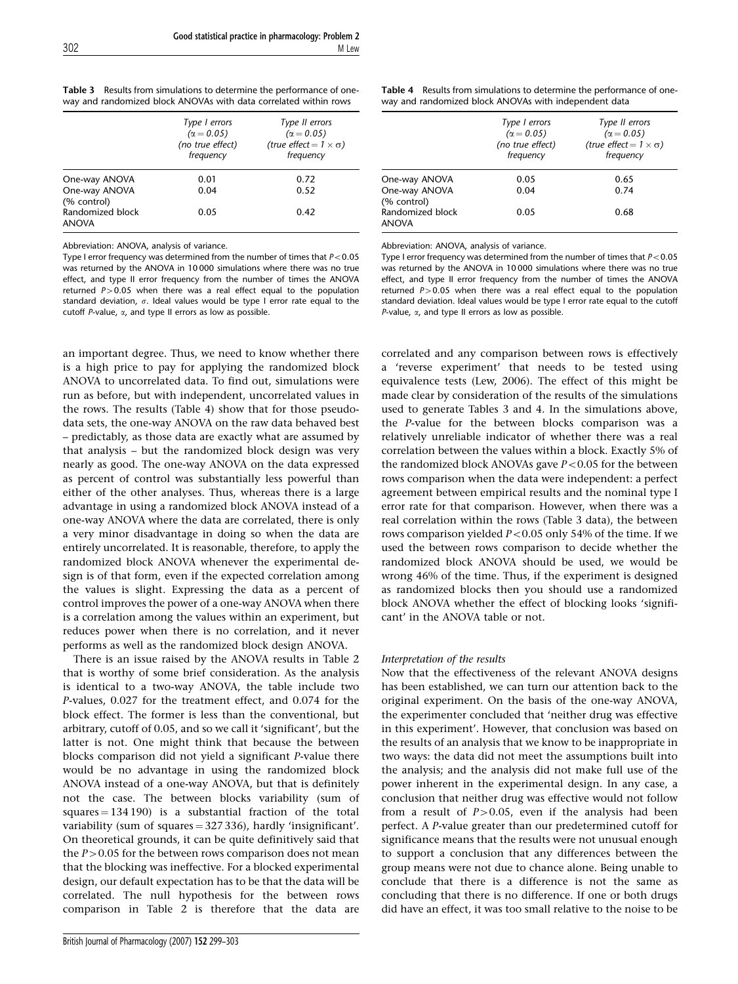Table 3 Results from simulations to determine the performance of oneway and randomized block ANOVAs with data correlated within rows

|                                                                                   | Type I errors<br>$(\alpha = 0.05)$<br>(no true effect)<br>frequency | Type II errors<br>$(\alpha = 0.05)$<br>(true effect = $1 \times \sigma$ )<br>frequency |
|-----------------------------------------------------------------------------------|---------------------------------------------------------------------|----------------------------------------------------------------------------------------|
| One-way ANOVA<br>One-way ANOVA<br>(% control)<br>Randomized block<br><b>ANOVA</b> | 0.01<br>0.04<br>0.05                                                | 0.72<br>0.52<br>0.42                                                                   |

Abbreviation: ANOVA, analysis of variance.

Type I error frequency was determined from the number of times that  $P<0.05$ was returned by the ANOVA in 10 000 simulations where there was no true effect, and type II error frequency from the number of times the ANOVA returned  $P > 0.05$  when there was a real effect equal to the population standard deviation,  $\sigma$ . Ideal values would be type I error rate equal to the cutoff P-value, a, and type II errors as low as possible.

an important degree. Thus, we need to know whether there is a high price to pay for applying the randomized block ANOVA to uncorrelated data. To find out, simulations were run as before, but with independent, uncorrelated values in the rows. The results (Table 4) show that for those pseudodata sets, the one-way ANOVA on the raw data behaved best – predictably, as those data are exactly what are assumed by that analysis – but the randomized block design was very nearly as good. The one-way ANOVA on the data expressed as percent of control was substantially less powerful than either of the other analyses. Thus, whereas there is a large advantage in using a randomized block ANOVA instead of a one-way ANOVA where the data are correlated, there is only a very minor disadvantage in doing so when the data are entirely uncorrelated. It is reasonable, therefore, to apply the randomized block ANOVA whenever the experimental design is of that form, even if the expected correlation among the values is slight. Expressing the data as a percent of control improves the power of a one-way ANOVA when there is a correlation among the values within an experiment, but reduces power when there is no correlation, and it never performs as well as the randomized block design ANOVA.

There is an issue raised by the ANOVA results in Table 2 that is worthy of some brief consideration. As the analysis is identical to a two-way ANOVA, the table include two P-values, 0.027 for the treatment effect, and 0.074 for the block effect. The former is less than the conventional, but arbitrary, cutoff of 0.05, and so we call it 'significant', but the latter is not. One might think that because the between blocks comparison did not yield a significant P-value there would be no advantage in using the randomized block ANOVA instead of a one-way ANOVA, but that is definitely not the case. The between blocks variability (sum of squares  $= 134 190$ ) is a substantial fraction of the total variability (sum of squares  $=$  327 336), hardly 'insignificant'. On theoretical grounds, it can be quite definitively said that the  $P > 0.05$  for the between rows comparison does not mean that the blocking was ineffective. For a blocked experimental design, our default expectation has to be that the data will be correlated. The null hypothesis for the between rows comparison in Table 2 is therefore that the data are

Table 4 Results from simulations to determine the performance of oneway and randomized block ANOVAs with independent data

|                                  | Type I errors<br>$(\alpha = 0.05)$<br>(no true effect)<br>frequency | Type II errors<br>$(\alpha = 0.05)$<br>(true effect = $1 \times \sigma$ )<br>frequency |
|----------------------------------|---------------------------------------------------------------------|----------------------------------------------------------------------------------------|
| One-way ANOVA                    | 0.05                                                                | 0.65                                                                                   |
| One-way ANOVA<br>(% control)     | 0.04                                                                | 0.74                                                                                   |
| Randomized block<br><b>ANOVA</b> | 0.05                                                                | 0.68                                                                                   |

Abbreviation: ANOVA, analysis of variance.

Type I error frequency was determined from the number of times that  $P < 0.05$ was returned by the ANOVA in 10 000 simulations where there was no true effect, and type II error frequency from the number of times the ANOVA returned  $P > 0.05$  when there was a real effect equal to the population standard deviation. Ideal values would be type I error rate equal to the cutoff P-value,  $\alpha$ , and type II errors as low as possible.

correlated and any comparison between rows is effectively a 'reverse experiment' that needs to be tested using equivalence tests (Lew, 2006). The effect of this might be made clear by consideration of the results of the simulations used to generate Tables 3 and 4. In the simulations above, the P-value for the between blocks comparison was a relatively unreliable indicator of whether there was a real correlation between the values within a block. Exactly 5% of the randomized block ANOVAs gave  $P<0.05$  for the between rows comparison when the data were independent: a perfect agreement between empirical results and the nominal type I error rate for that comparison. However, when there was a real correlation within the rows (Table 3 data), the between rows comparison yielded  $P<0.05$  only 54% of the time. If we used the between rows comparison to decide whether the randomized block ANOVA should be used, we would be wrong 46% of the time. Thus, if the experiment is designed as randomized blocks then you should use a randomized block ANOVA whether the effect of blocking looks 'significant' in the ANOVA table or not.

#### Interpretation of the results

Now that the effectiveness of the relevant ANOVA designs has been established, we can turn our attention back to the original experiment. On the basis of the one-way ANOVA, the experimenter concluded that 'neither drug was effective in this experiment'. However, that conclusion was based on the results of an analysis that we know to be inappropriate in two ways: the data did not meet the assumptions built into the analysis; and the analysis did not make full use of the power inherent in the experimental design. In any case, a conclusion that neither drug was effective would not follow from a result of  $P > 0.05$ , even if the analysis had been perfect. A P-value greater than our predetermined cutoff for significance means that the results were not unusual enough to support a conclusion that any differences between the group means were not due to chance alone. Being unable to conclude that there is a difference is not the same as concluding that there is no difference. If one or both drugs did have an effect, it was too small relative to the noise to be